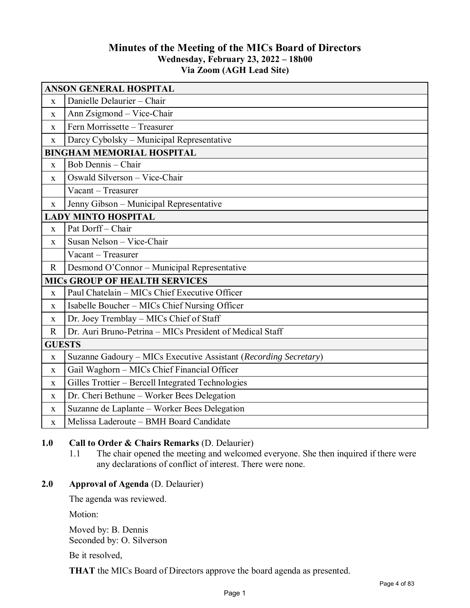# **Minutes of the Meeting of the MICs Board of Directors Wednesday, February 23, 2022 – 18h00 Via Zoom (AGH Lead Site)**

| <b>ANSON GENERAL HOSPITAL</b>        |                                                                  |
|--------------------------------------|------------------------------------------------------------------|
| X                                    | Danielle Delaurier - Chair                                       |
| $\mathbf X$                          | Ann Zsigmond - Vice-Chair                                        |
| $\mathbf X$                          | Fern Morrissette - Treasurer                                     |
| $\mathbf X$                          | Darcy Cybolsky - Municipal Representative                        |
| <b>BINGHAM MEMORIAL HOSPITAL</b>     |                                                                  |
| X                                    | Bob Dennis - Chair                                               |
| $\mathbf{X}$                         | Oswald Silverson - Vice-Chair                                    |
|                                      | Vacant - Treasurer                                               |
| $\mathbf X$                          | Jenny Gibson - Municipal Representative                          |
| <b>LADY MINTO HOSPITAL</b>           |                                                                  |
| $\mathbf X$                          | Pat Dorff-Chair                                                  |
| $\mathbf X$                          | Susan Nelson - Vice-Chair                                        |
|                                      | Vacant - Treasurer                                               |
| $\mathbf R$                          | Desmond O'Connor - Municipal Representative                      |
| <b>MICs GROUP OF HEALTH SERVICES</b> |                                                                  |
| $\mathbf X$                          | Paul Chatelain - MICs Chief Executive Officer                    |
| $\mathbf X$                          | Isabelle Boucher - MICs Chief Nursing Officer                    |
| $\mathbf X$                          | Dr. Joey Tremblay - MICs Chief of Staff                          |
| $\mathbb{R}$                         | Dr. Auri Bruno-Petrina - MICs President of Medical Staff         |
| <b>GUESTS</b>                        |                                                                  |
| $\mathbf X$                          | Suzanne Gadoury - MICs Executive Assistant (Recording Secretary) |
| $\mathbf X$                          | Gail Waghorn - MICs Chief Financial Officer                      |
| $\mathbf X$                          | Gilles Trottier - Bercell Integrated Technologies                |
| X                                    | Dr. Cheri Bethune - Worker Bees Delegation                       |
| X                                    | Suzanne de Laplante - Worker Bees Delegation                     |
| $\mathbf X$                          | Melissa Laderoute - BMH Board Candidate                          |

## **1.0 Call to Order & Chairs Remarks** (D. Delaurier)

1.1 The chair opened the meeting and welcomed everyone. She then inquired if there were any declarations of conflict of interest. There were none.

## **2.0 Approval of Agenda** (D. Delaurier)

The agenda was reviewed.

Motion:

Moved by: B. Dennis Seconded by: O. Silverson

Be it resolved,

**THAT** the MICs Board of Directors approve the board agenda as presented.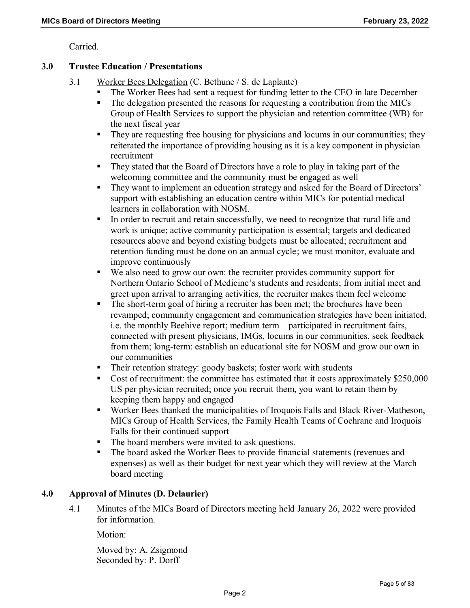Carried.

### **3.0 Trustee Education / Presentations**

- 3.1 Worker Bees Delegation (C. Bethune / S. de Laplante)
	- The Worker Bees had sent a request for funding letter to the CEO in late December
	- The delegation presented the reasons for requesting a contribution from the MICs Group of Health Services to support the physician and retention committee (WB) for the next fiscal year
	- They are requesting free housing for physicians and locums in our communities; they reiterated the importance of providing housing as it is a key component in physician recruitment
	- They stated that the Board of Directors have a role to play in taking part of the welcoming committee and the community must be engaged as well
	- They want to implement an education strategy and asked for the Board of Directors' support with establishing an education centre within MICs for potential medical learners in collaboration with NOSM.
	- In order to recruit and retain successfully, we need to recognize that rural life and work is unique; active community participation is essential; targets and dedicated resources above and beyond existing budgets must be allocated; recruitment and retention funding must be done on an annual cycle; we must monitor, evaluate and improve continuously
	- We also need to grow our own: the recruiter provides community support for Northern Ontario School of Medicine's students and residents; from initial meet and greet upon arrival to arranging activities, the recruiter makes them feel welcome
	- The short-term goal of hiring a recruiter has been met; the brochures have been revamped; community engagement and communication strategies have been initiated, i.e. the monthly Beehive report; medium term – participated in recruitment fairs, connected with present physicians, IMGs, locums in our communities, seek feedback from them; long-term: establish an educational site for NOSM and grow our own in our communities
	- Their retention strategy: goody baskets; foster work with students
	- Cost of recruitment: the committee has estimated that it costs approximately \$250,000 US per physician recruited; once you recruit them, you want to retain them by keeping them happy and engaged
	- Worker Bees thanked the municipalities of Iroquois Falls and Black River-Matheson, MICs Group of Health Services, the Family Health Teams of Cochrane and Iroquois Falls for their continued support
	- The board members were invited to ask questions.
	- The board asked the Worker Bees to provide financial statements (revenues and expenses) as well as their budget for next year which they will review at the March board meeting

## **4.0 Approval of Minutes (D. Delaurier)**

4.1 Minutes of the MICs Board of Directors meeting held January 26, 2022 were provided for information.

Motion:

Moved by: A. Zsigmond Seconded by: P. Dorff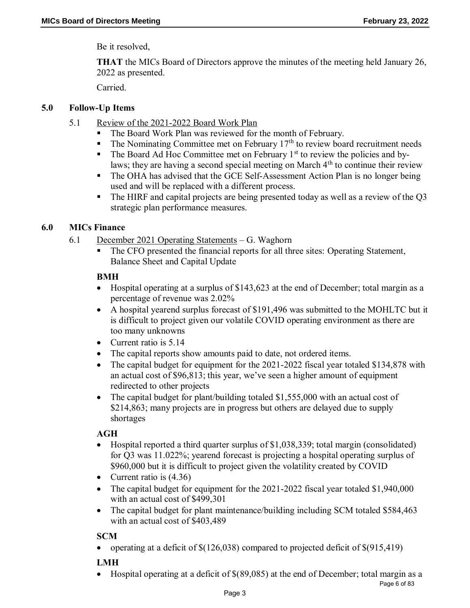Be it resolved,

**THAT** the MICs Board of Directors approve the minutes of the meeting held January 26, 2022 as presented.

Carried.

## **5.0 Follow-Up Items**

- 5.1 Review of the 2021-2022 Board Work Plan
	- The Board Work Plan was reviewed for the month of February.
	- $\blacksquare$  The Nominating Committee met on February 17<sup>th</sup> to review board recruitment needs
	- $\blacksquare$  The Board Ad Hoc Committee met on February 1<sup>st</sup> to review the policies and bylaws; they are having a second special meeting on March  $4<sup>th</sup>$  to continue their review
	- The OHA has advised that the GCE Self-Assessment Action Plan is no longer being used and will be replaced with a different process.
	- The HIRF and capital projects are being presented today as well as a review of the Q3 strategic plan performance measures.

## **6.0 MICs Finance**

- 6.1 December 2021 Operating Statements G. Waghorn
	- The CFO presented the financial reports for all three sites: Operating Statement, Balance Sheet and Capital Update

## **BMH**

- Hospital operating at a surplus of \$143,623 at the end of December; total margin as a percentage of revenue was 2.02%
- A hospital yearend surplus forecast of \$191,496 was submitted to the MOHLTC but it is difficult to project given our volatile COVID operating environment as there are too many unknowns
- Current ratio is 5.14
- The capital reports show amounts paid to date, not ordered items.
- The capital budget for equipment for the 2021-2022 fiscal year totaled \$134,878 with an actual cost of \$96,813; this year, we've seen a higher amount of equipment redirected to other projects
- The capital budget for plant/building totaled \$1,555,000 with an actual cost of \$214,863; many projects are in progress but others are delayed due to supply shortages

## **AGH**

- Hospital reported a third quarter surplus of \$1,038,339; total margin (consolidated) for Q3 was 11.022%; yearend forecast is projecting a hospital operating surplus of \$960,000 but it is difficult to project given the volatility created by COVID
- Current ratio is  $(4.36)$
- The capital budget for equipment for the 2021-2022 fiscal year totaled \$1,940,000 with an actual cost of \$499,301
- The capital budget for plant maintenance/building including SCM totaled \$584,463 with an actual cost of \$403,489

# **SCM**

• operating at a deficit of  $\$(126,038)$  compared to projected deficit of  $\$(915,419)$ 

# **LMH**

Hospital operating at a deficit of \$(89,085) at the end of December; total margin as a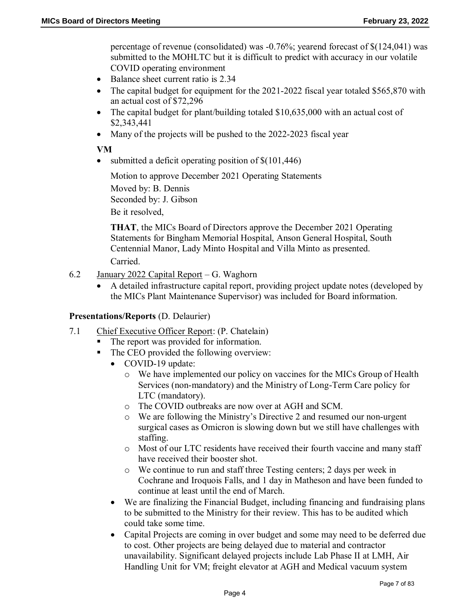percentage of revenue (consolidated) was -0.76%; yearend forecast of \$(124,041) was submitted to the MOHLTC but it is difficult to predict with accuracy in our volatile COVID operating environment

- Balance sheet current ratio is 2.34
- The capital budget for equipment for the 2021-2022 fiscal year totaled \$565,870 with an actual cost of \$72,296
- The capital budget for plant/building totaled \$10,635,000 with an actual cost of \$2,343,441
- Many of the projects will be pushed to the 2022-2023 fiscal year

### **VM**

• submitted a deficit operating position of  $$(101,446)$ 

Motion to approve December 2021 Operating Statements

Moved by: B. Dennis Seconded by: J. Gibson

Be it resolved,

**THAT**, the MICs Board of Directors approve the December 2021 Operating Statements for Bingham Memorial Hospital, Anson General Hospital, South Centennial Manor, Lady Minto Hospital and Villa Minto as presented. Carried.

- 6.2 January 2022 Capital Report G. Waghorn
	- A detailed infrastructure capital report, providing project update notes (developed by the MICs Plant Maintenance Supervisor) was included for Board information.

### **Presentations/Reports** (D. Delaurier)

- 7.1 Chief Executive Officer Report: (P. Chatelain)
	- The report was provided for information.
	- The CEO provided the following overview:
		- COVID-19 update:
			- o We have implemented our policy on vaccines for the MICs Group of Health Services (non-mandatory) and the Ministry of Long-Term Care policy for LTC (mandatory).
			- o The COVID outbreaks are now over at AGH and SCM.
			- o We are following the Ministry's Directive 2 and resumed our non-urgent surgical cases as Omicron is slowing down but we still have challenges with staffing.
			- o Most of our LTC residents have received their fourth vaccine and many staff have received their booster shot.
			- o We continue to run and staff three Testing centers; 2 days per week in Cochrane and Iroquois Falls, and 1 day in Matheson and have been funded to continue at least until the end of March.
		- We are finalizing the Financial Budget, including financing and fundraising plans to be submitted to the Ministry for their review. This has to be audited which could take some time.
		- Capital Projects are coming in over budget and some may need to be deferred due to cost. Other projects are being delayed due to material and contractor unavailability. Significant delayed projects include Lab Phase II at LMH, Air Handling Unit for VM; freight elevator at AGH and Medical vacuum system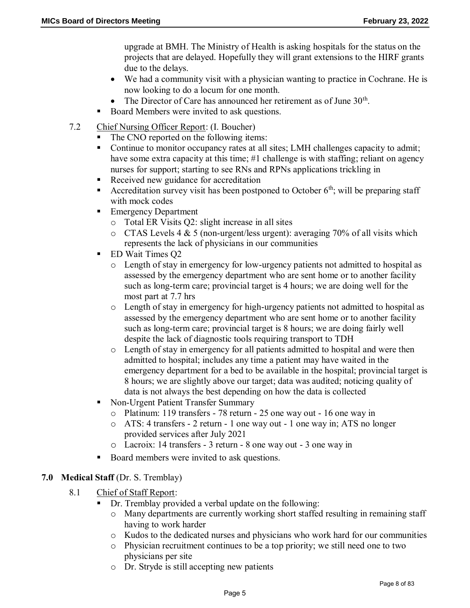upgrade at BMH. The Ministry of Health is asking hospitals for the status on the projects that are delayed. Hopefully they will grant extensions to the HIRF grants due to the delays.

- We had a community visit with a physician wanting to practice in Cochrane. He is now looking to do a locum for one month.
- The Director of Care has announced her retirement as of June  $30<sup>th</sup>$ .
- Board Members were invited to ask questions.
- 7.2 Chief Nursing Officer Report: (I. Boucher)
	- The CNO reported on the following items:
	- Continue to monitor occupancy rates at all sites; LMH challenges capacity to admit; have some extra capacity at this time; #1 challenge is with staffing; reliant on agency nurses for support; starting to see RNs and RPNs applications trickling in
	- Received new guidance for accreditation
	- Accreditation survey visit has been postponed to October  $6<sup>th</sup>$ ; will be preparing staff with mock codes
	- Emergency Department
		- o Total ER Visits Q2: slight increase in all sites
		- $\circ$  CTAS Levels 4 & 5 (non-urgent/less urgent): averaging 70% of all visits which represents the lack of physicians in our communities
	- ED Wait Times O<sub>2</sub>
		- o Length of stay in emergency for low-urgency patients not admitted to hospital as assessed by the emergency department who are sent home or to another facility such as long-term care; provincial target is 4 hours; we are doing well for the most part at 7.7 hrs
		- o Length of stay in emergency for high-urgency patients not admitted to hospital as assessed by the emergency department who are sent home or to another facility such as long-term care; provincial target is 8 hours; we are doing fairly well despite the lack of diagnostic tools requiring transport to TDH
		- o Length of stay in emergency for all patients admitted to hospital and were then admitted to hospital; includes any time a patient may have waited in the emergency department for a bed to be available in the hospital; provincial target is 8 hours; we are slightly above our target; data was audited; noticing quality of data is not always the best depending on how the data is collected
	- Non-Urgent Patient Transfer Summary
		- o Platinum: 119 transfers 78 return 25 one way out 16 one way in
		- o ATS: 4 transfers 2 return 1 one way out 1 one way in; ATS no longer provided services after July 2021
		- o Lacroix: 14 transfers 3 return 8 one way out 3 one way in
	- Board members were invited to ask questions.

### **7.0 Medical Staff** (Dr. S. Tremblay)

- 8.1 Chief of Staff Report:
	- Dr. Tremblay provided a verbal update on the following:
		- o Many departments are currently working short staffed resulting in remaining staff having to work harder
		- o Kudos to the dedicated nurses and physicians who work hard for our communities
		- o Physician recruitment continues to be a top priority; we still need one to two physicians per site
		- o Dr. Stryde is still accepting new patients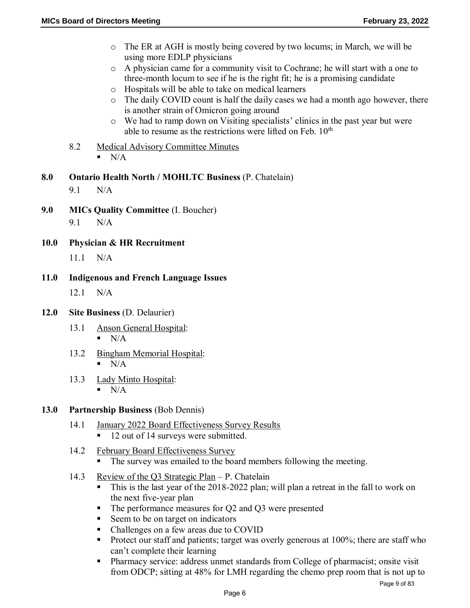- o The ER at AGH is mostly being covered by two locums; in March, we will be using more EDLP physicians
- o A physician came for a community visit to Cochrane; he will start with a one to three-month locum to see if he is the right fit; he is a promising candidate
- o Hospitals will be able to take on medical learners
- o The daily COVID count is half the daily cases we had a month ago however, there is another strain of Omicron going around
- o We had to ramp down on Visiting specialists' clinics in the past year but were able to resume as the restrictions were lifted on Feb.  $10<sup>th</sup>$
- 8.2 Medical Advisory Committee Minutes  $N/A$
- **8.0 Ontario Health North / MOHLTC Business** (P. Chatelain)

9.1 N/A

**9.0 MICs Quality Committee** (I. Boucher)

9.1 N/A

**10.0 Physician & HR Recruitment** 

11.1 N/A

### **11.0 Indigenous and French Language Issues**

12.1 N/A

- **12.0 Site Business** (D. Delaurier)
	- 13.1 Anson General Hospital:  $N/A$
	- 13.2 Bingham Memorial Hospital:  $\blacksquare$  N/A
	- 13.3 Lady Minto Hospital:  $N/A$

### **13.0 Partnership Business** (Bob Dennis)

- 14.1 January 2022 Board Effectiveness Survey Results
	- 12 out of 14 surveys were submitted.
- 14.2 February Board Effectiveness Survey
	- The survey was emailed to the board members following the meeting.
- 14.3 Review of the Q3 Strategic Plan P. Chatelain
	- This is the last year of the 2018-2022 plan; will plan a retreat in the fall to work on the next five-year plan
	- The performance measures for Q2 and Q3 were presented
	- Seem to be on target on indicators
	- Challenges on a few areas due to COVID
	- Protect our staff and patients; target was overly generous at  $100\%$ ; there are staff who can't complete their learning
	- Pharmacy service: address unmet standards from College of pharmacist; onsite visit from ODCP; sitting at 48% for LMH regarding the chemo prep room that is not up to